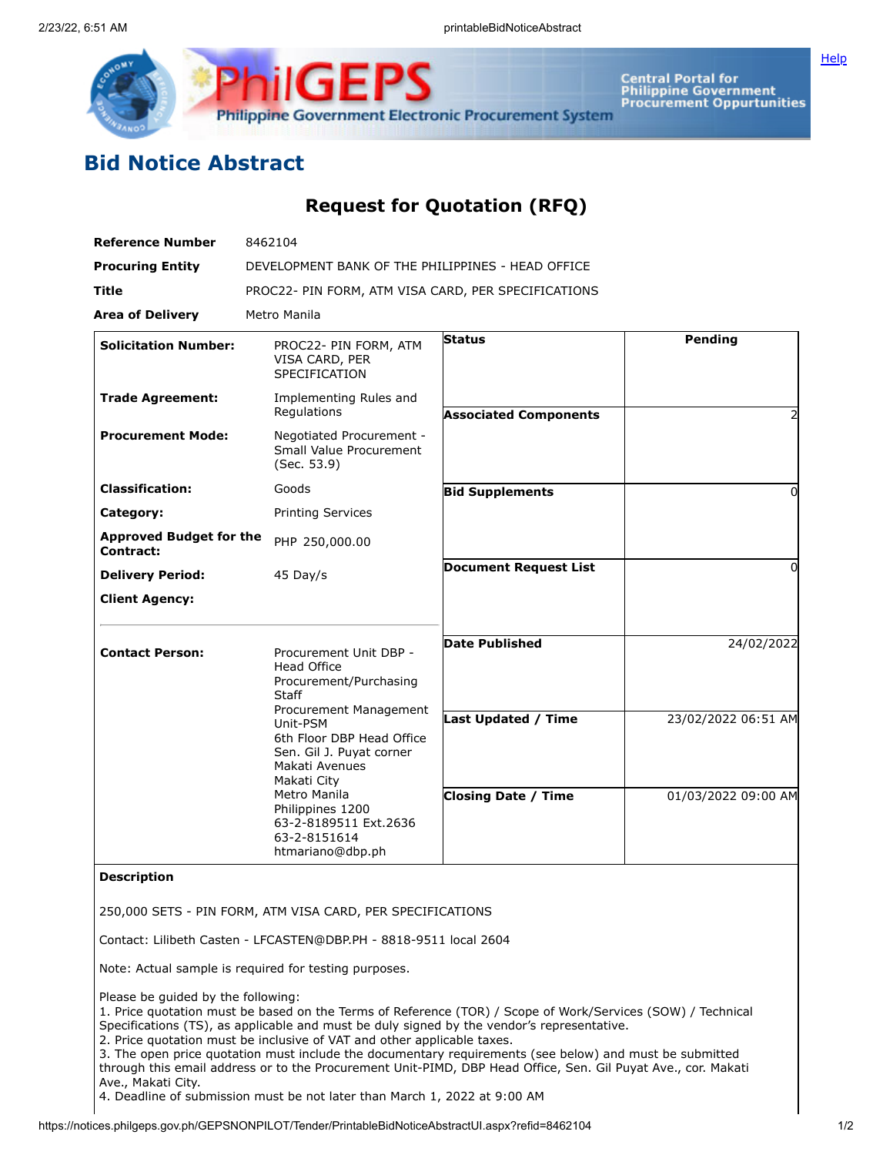

Central Portal for<br>Philippine Government<br>Procurement Oppurtunities

**[Help](javascript:void(window.open()** 

## **Bid Notice Abstract**

## **Request for Quotation (RFQ)**

| <b>Reference Number</b>                     | 8462104                                                                                                                                                                                                                                                                                                                 |                              |                     |
|---------------------------------------------|-------------------------------------------------------------------------------------------------------------------------------------------------------------------------------------------------------------------------------------------------------------------------------------------------------------------------|------------------------------|---------------------|
| <b>Procuring Entity</b>                     | DEVELOPMENT BANK OF THE PHILIPPINES - HEAD OFFICE                                                                                                                                                                                                                                                                       |                              |                     |
| Title                                       | PROC22- PIN FORM, ATM VISA CARD, PER SPECIFICATIONS                                                                                                                                                                                                                                                                     |                              |                     |
| <b>Area of Delivery</b>                     | Metro Manila                                                                                                                                                                                                                                                                                                            |                              |                     |
| <b>Solicitation Number:</b>                 | PROC22- PIN FORM, ATM<br>VISA CARD, PER<br>SPECIFICATION                                                                                                                                                                                                                                                                | <b>Status</b>                | Pending             |
| <b>Trade Agreement:</b>                     | Implementing Rules and<br>Regulations                                                                                                                                                                                                                                                                                   | <b>Associated Components</b> | 2                   |
| <b>Procurement Mode:</b>                    | Negotiated Procurement -<br>Small Value Procurement<br>(Sec. 53.9)                                                                                                                                                                                                                                                      |                              |                     |
| <b>Classification:</b>                      | Goods                                                                                                                                                                                                                                                                                                                   | <b>Bid Supplements</b>       | ŋ                   |
| Category:                                   | <b>Printing Services</b>                                                                                                                                                                                                                                                                                                |                              |                     |
| <b>Approved Budget for the</b><br>Contract: | PHP 250,000.00                                                                                                                                                                                                                                                                                                          |                              |                     |
| <b>Delivery Period:</b>                     | 45 Day/s                                                                                                                                                                                                                                                                                                                | <b>Document Request List</b> | 0                   |
| <b>Client Agency:</b>                       |                                                                                                                                                                                                                                                                                                                         |                              |                     |
| <b>Contact Person:</b>                      | Procurement Unit DBP -<br><b>Head Office</b><br>Procurement/Purchasing<br><b>Staff</b><br>Procurement Management<br>Unit-PSM<br>6th Floor DBP Head Office<br>Sen. Gil J. Puyat corner<br>Makati Avenues<br>Makati City<br>Metro Manila<br>Philippines 1200<br>63-2-8189511 Ext.2636<br>63-2-8151614<br>htmariano@dbp.ph | <b>Date Published</b>        | 24/02/2022          |
|                                             |                                                                                                                                                                                                                                                                                                                         | <b>Last Updated / Time</b>   | 23/02/2022 06:51 AM |
|                                             |                                                                                                                                                                                                                                                                                                                         | <b>Closing Date / Time</b>   | 01/03/2022 09:00 AM |

## **Description**

250,000 SETS - PIN FORM, ATM VISA CARD, PER SPECIFICATIONS

Contact: Lilibeth Casten - LFCASTEN@DBP.PH - 8818-9511 local 2604

Note: Actual sample is required for testing purposes.

Please be guided by the following:

1. Price quotation must be based on the Terms of Reference (TOR) / Scope of Work/Services (SOW) / Technical Specifications (TS), as applicable and must be duly signed by the vendor's representative.

2. Price quotation must be inclusive of VAT and other applicable taxes.

3. The open price quotation must include the documentary requirements (see below) and must be submitted through this email address or to the Procurement Unit-PIMD, DBP Head Office, Sen. Gil Puyat Ave., cor. Makati Ave., Makati City.

4. Deadline of submission must be not later than March 1, 2022 at 9:00 AM